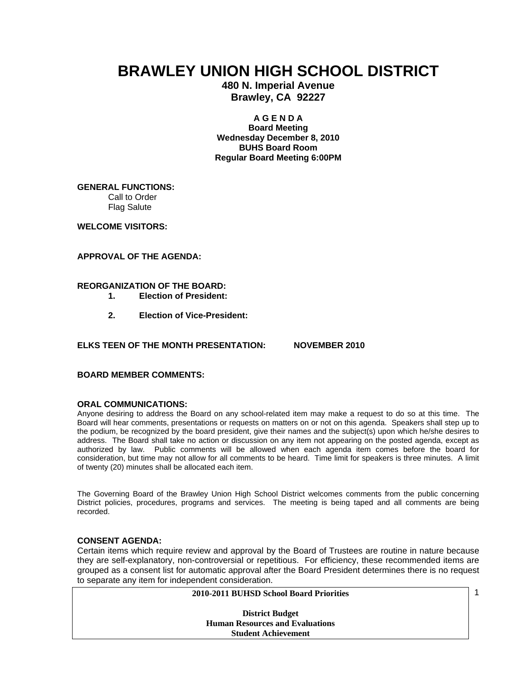# **BRAWLEY UNION HIGH SCHOOL DISTRICT**

**480 N. Imperial Avenue Brawley, CA 92227** 

#### **A G E N D A**

**Board Meeting Wednesday December 8, 2010 BUHS Board Room Regular Board Meeting 6:00PM** 

**GENERAL FUNCTIONS:**  Call to Order Flag Salute

**WELCOME VISITORS:** 

**APPROVAL OF THE AGENDA:** 

# **REORGANIZATION OF THE BOARD:**

- **1. Election of President:**
- **2. Election of Vice-President:**

# **ELKS TEEN OF THE MONTH PRESENTATION: NOVEMBER 2010**

# **BOARD MEMBER COMMENTS:**

#### **ORAL COMMUNICATIONS:**

Anyone desiring to address the Board on any school-related item may make a request to do so at this time. The Board will hear comments, presentations or requests on matters on or not on this agenda. Speakers shall step up to the podium, be recognized by the board president, give their names and the subject(s) upon which he/she desires to address. The Board shall take no action or discussion on any item not appearing on the posted agenda, except as authorized by law. Public comments will be allowed when each agenda item comes before the board for consideration, but time may not allow for all comments to be heard. Time limit for speakers is three minutes. A limit of twenty (20) minutes shall be allocated each item.

The Governing Board of the Brawley Union High School District welcomes comments from the public concerning District policies, procedures, programs and services. The meeting is being taped and all comments are being recorded.

# **CONSENT AGENDA:**

Certain items which require review and approval by the Board of Trustees are routine in nature because they are self-explanatory, non-controversial or repetitious. For efficiency, these recommended items are grouped as a consent list for automatic approval after the Board President determines there is no request to separate any item for independent consideration.

1

**District Budget Human Resources and Evaluations Student Achievement**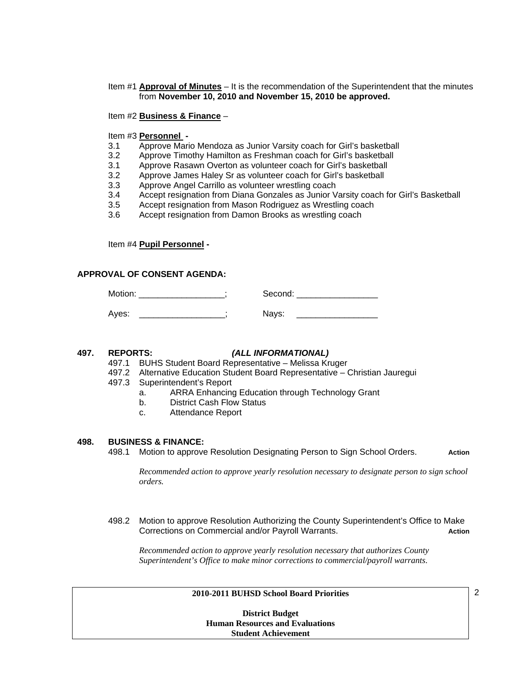# Item #1 **Approval of Minutes** – It is the recommendation of the Superintendent that the minutes from **November 10, 2010 and November 15, 2010 be approved.**

# Item #2 **Business & Finance** –

# Item #3 **Personnel -**

- 3.1 Approve Mario Mendoza as Junior Varsity coach for Girl's basketball
- 3.2 Approve Timothy Hamilton as Freshman coach for Girl's basketball
- 3.1 Approve Rasawn Overton as volunteer coach for Girl's basketball
- 3.2 Approve James Haley Sr as volunteer coach for Girl's basketball<br>3.3 Approve Angel Carrillo as volunteer wrestling coach
- Approve Angel Carrillo as volunteer wrestling coach
- 3.4 Accept resignation from Diana Gonzales as Junior Varsity coach for Girl's Basketball
- 3.5 Accept resignation from Mason Rodriguez as Wrestling coach
- 3.6 Accept resignation from Damon Brooks as wrestling coach

Item #4 **Pupil Personnel -** 

# **APPROVAL OF CONSENT AGENDA:**

| Motion: | Second: |  |
|---------|---------|--|
| Aves:   | Nays:   |  |

#### **497. REPORTS:** *(ALL INFORMATIONAL)*

- 497.1 BUHS Student Board Representative Melissa Kruger
- 497.2 Alternative Education Student Board Representative Christian Jauregui
- 497.3 Superintendent's Report
	- a. ARRA Enhancing Education through Technology Grant
		- b. District Cash Flow Status
		- c. Attendance Report

#### **498. BUSINESS & FINANCE:**

498.1 Motion to approve Resolution Designating Person to Sign School Orders. **Action**

*Recommended action to approve yearly resolution necessary to designate person to sign school orders.* 

498.2 Motion to approve Resolution Authorizing the County Superintendent's Office to Make Corrections on Commercial and/or Payroll Warrants. **Action**

*Recommended action to approve yearly resolution necessary that authorizes County Superintendent's Office to make minor corrections to commercial/payroll warrants*.

#### **2010-2011 BUHSD School Board Priorities**

**District Budget Human Resources and Evaluations Student Achievement** 

2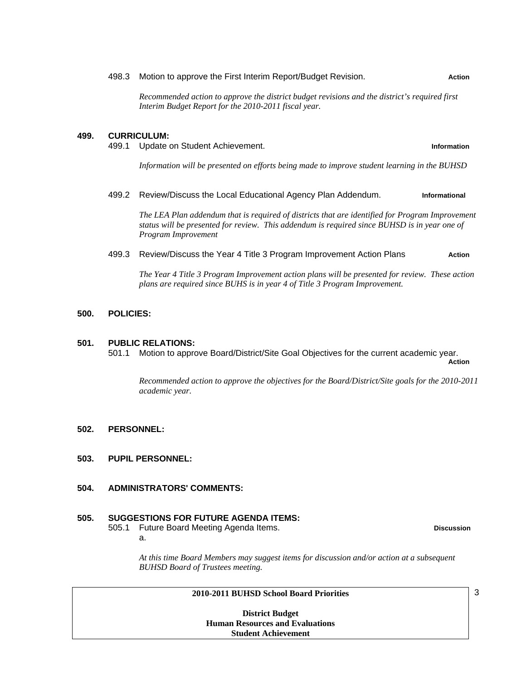#### 498.3 Motion to approve the First Interim Report/Budget Revision. **Action**

*Recommended action to approve the district budget revisions and the district's required first Interim Budget Report for the 2010-2011 fiscal year.* 

#### **499. CURRICULUM:**

499.1 Update on Student Achievement. **Information**

*Information will be presented on efforts being made to improve student learning in the BUHSD* 

#### 499.2 Review/Discuss the Local Educational Agency Plan Addendum. **Informational**

*The LEA Plan addendum that is required of districts that are identified for Program Improvement status will be presented for review. This addendum is required since BUHSD is in year one of Program Improvement* 

# 499.3 Review/Discuss the Year 4 Title 3 Program Improvement Action Plans **Action**

*The Year 4 Title 3 Program Improvement action plans will be presented for review. These action plans are required since BUHS is in year 4 of Title 3 Program Improvement.* 

#### **500. POLICIES:**

#### **501. PUBLIC RELATIONS:**

 501.1 Motion to approve Board/District/Site Goal Objectives for the current academic year. **Action** 

*Recommended action to approve the objectives for the Board/District/Site goals for the 2010-2011 academic year.* 

#### **502. PERSONNEL:**

**503. PUPIL PERSONNEL:** 

# **504. ADMINISTRATORS' COMMENTS:**

# **505. SUGGESTIONS FOR FUTURE AGENDA ITEMS:**

 505.1 Future Board Meeting Agenda Items. **Discussion** a.

*At this time Board Members may suggest items for discussion and/or action at a subsequent BUHSD Board of Trustees meeting.* 

#### **2010-2011 BUHSD School Board Priorities**

**District Budget Human Resources and Evaluations Student Achievement** 

3